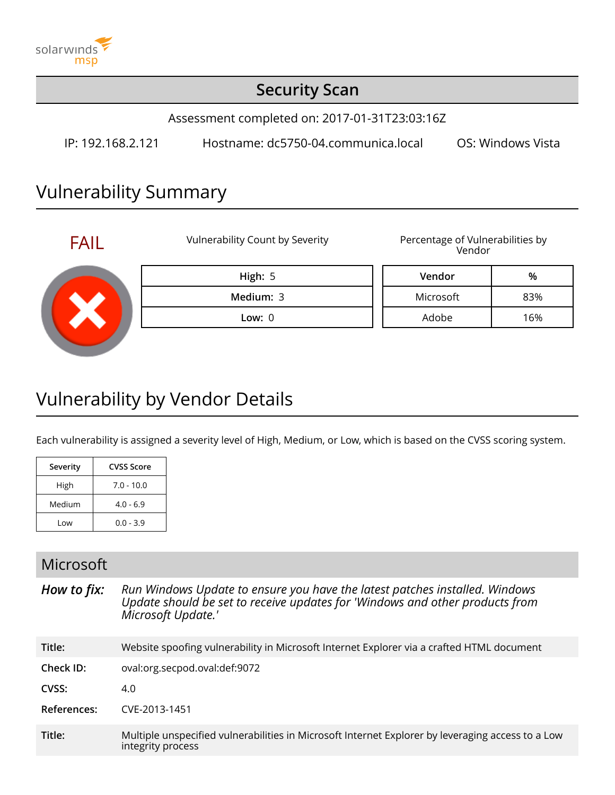

### **Security Scan**

Assessment completed on: 2017-01-31T23:03:16Z

IP: 192.168.2.121 Hostname: dc5750-04.communica.local OS: Windows Vista

## Vulnerability Summary



# Vulnerability by Vendor Details

Each vulnerability is assigned a severity level of High, Medium, or Low, which is based on the CVSS scoring system.

| Severity | CVSS Score   |
|----------|--------------|
| High     | $7.0 - 10.0$ |
| Medium   | $4.0 - 6.9$  |
| Low      | $0.0 - 3.9$  |

#### Microsoft

*How to fix: Run Windows Update to ensure you have the latest patches installed. Windows Update should be set to receive updates for 'Windows and other products from Microsoft Update.'* **Title:** Website spoofing vulnerability in Microsoft Internet Explorer via a crafted HTML document **Check ID:** oval:org.secpod.oval:def:9072 **CVSS:** 4.0 **References:** CVE-2013-1451

**Title:** Multiple unspecified vulnerabilities in Microsoft Internet Explorer by leveraging access to a Low integrity process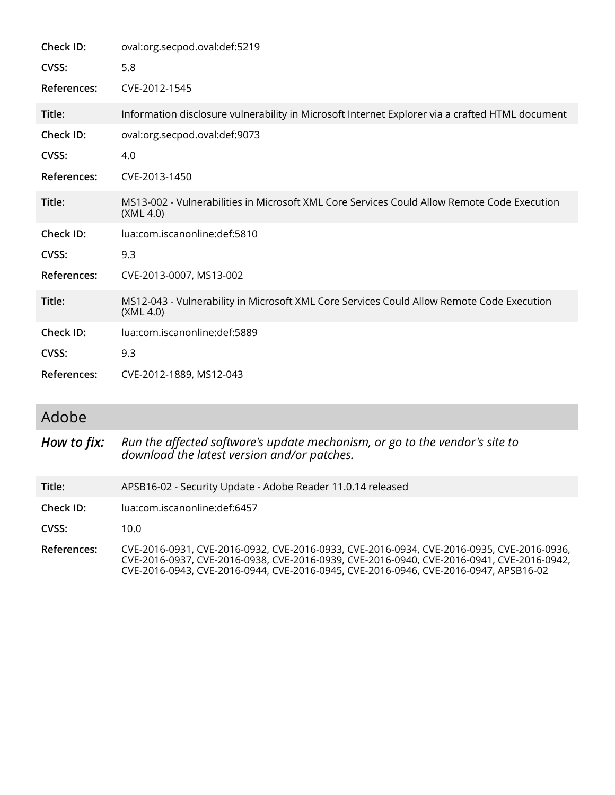| Check ID:    | oval:org.secpod.oval:def:5219                                                                            |  |  |
|--------------|----------------------------------------------------------------------------------------------------------|--|--|
| CVSS:        | 5.8                                                                                                      |  |  |
| References:  | CVE-2012-1545                                                                                            |  |  |
| Title:       | Information disclosure vulnerability in Microsoft Internet Explorer via a crafted HTML document          |  |  |
| Check ID:    | oval:org.secpod.oval:def:9073                                                                            |  |  |
| <b>CVSS:</b> | 4.0                                                                                                      |  |  |
| References:  | CVE-2013-1450                                                                                            |  |  |
| Title:       | MS13-002 - Vulnerabilities in Microsoft XML Core Services Could Allow Remote Code Execution<br>(XML 4.0) |  |  |
| Check ID:    | lua:com.iscanonline:def:5810                                                                             |  |  |
| CVSS:        | 9.3                                                                                                      |  |  |
| References:  | CVE-2013-0007, MS13-002                                                                                  |  |  |
| Title:       | MS12-043 - Vulnerability in Microsoft XML Core Services Could Allow Remote Code Execution<br>(XML 4.0)   |  |  |
| Check ID:    | lua:com.iscanonline:def:5889                                                                             |  |  |
| CVSS:        | 9.3                                                                                                      |  |  |
| References:  | CVE-2012-1889, MS12-043                                                                                  |  |  |

#### Adobe

*How to fix: Run the affected software's update mechanism, or go to the vendor's site to download the latest version and/or patches.*

**Title:** APSB16-02 - Security Update - Adobe Reader 11.0.14 released

**Check ID:** lua:com.iscanonline:def:6457

**CVSS:** 10.0

**References:** CVE-2016-0931, CVE-2016-0932, CVE-2016-0933, CVE-2016-0934, CVE-2016-0935, CVE-2016-0936, CVE-2016-0937, CVE-2016-0938, CVE-2016-0939, CVE-2016-0940, CVE-2016-0941, CVE-2016-0942, CVE-2016-0943, CVE-2016-0944, CVE-2016-0945, CVE-2016-0946, CVE-2016-0947, APSB16-02